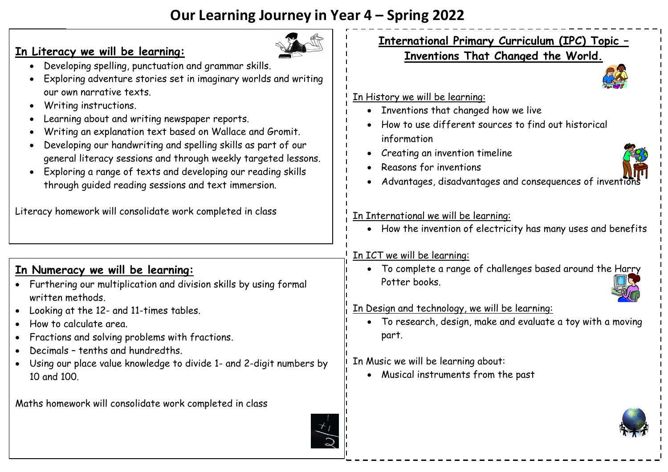# **Our Learning Journey in Year 4 – Spring 2022**

| <u>In Literacy we will be learning:</u><br>Developing spelling, punctuation and grammar skills.<br>Exploring adventure stories set in imaginary worlds and writing<br>our own narrative texts.<br>Writing instructions.<br>Learning about and writing newspaper reports.<br>Writing an explanation text based on Wallace and Gromit.<br>Developing our handwriting and spelling skills as part of our<br>general literacy sessions and through weekly targeted lessons.<br>Exploring a range of texts and developing our reading skills<br>through guided reading sessions and text immersion.<br>Literacy homework will consolidate work completed in class | <b>International Primary Curriculum (IPC) Topic -</b><br>Inventions That Changed the World.<br>In History we will be learning:<br>• Inventions that changed how we live<br>How to use different sources to find out historical<br>information<br>Creating an invention timeline<br>Reasons for inventions<br>Advantages, disadvantages and consequences of inventions<br>In International we will be learning:<br>How the invention of electricity has many uses and benefits |
|--------------------------------------------------------------------------------------------------------------------------------------------------------------------------------------------------------------------------------------------------------------------------------------------------------------------------------------------------------------------------------------------------------------------------------------------------------------------------------------------------------------------------------------------------------------------------------------------------------------------------------------------------------------|-------------------------------------------------------------------------------------------------------------------------------------------------------------------------------------------------------------------------------------------------------------------------------------------------------------------------------------------------------------------------------------------------------------------------------------------------------------------------------|
| <u>In Numeracy we will be learning:</u><br>• Furthering our multiplication and division skills by using formal<br>written methods.<br>Looking at the 12- and 11-times tables.<br>How to calculate area.<br>Fractions and solving problems with fractions.<br>Decimals - tenths and hundredths.<br>Using our place value knowledge to divide 1- and 2-digit numbers by<br>10 and 100.                                                                                                                                                                                                                                                                         | In ICT we will be learning:<br>To complete a range of challenges based around the Harry<br>Potter books.<br>In Design and technology, we will be learning:<br>• To research, design, make and evaluate a toy with a moving<br>part.<br>In Music we will be learning about:<br>• Musical instruments from the past                                                                                                                                                             |
| Maths homework will consolidate work completed in class                                                                                                                                                                                                                                                                                                                                                                                                                                                                                                                                                                                                      |                                                                                                                                                                                                                                                                                                                                                                                                                                                                               |